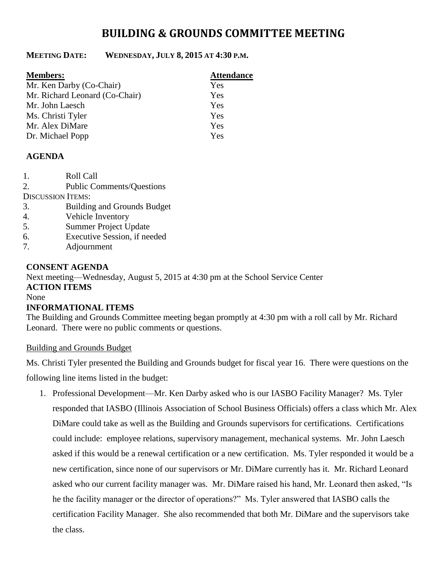# **BUILDING & GROUNDS COMMITTEE MEETING**

## **MEETING DATE: WEDNESDAY, JULY 8, 2015 AT 4:30 P.M.**

| <b>Members:</b>                | <b>Attendance</b> |
|--------------------------------|-------------------|
| Mr. Ken Darby (Co-Chair)       | Yes               |
| Mr. Richard Leonard (Co-Chair) | Yes               |
| Mr. John Laesch                | Yes               |
| Ms. Christi Tyler              | Yes               |
| Mr. Alex DiMare                | Yes               |
| Dr. Michael Popp               | Yes               |

### **AGENDA**

| 1.                       | Roll Call                          |  |
|--------------------------|------------------------------------|--|
| 2.                       | <b>Public Comments/Questions</b>   |  |
| <b>DISCUSSION ITEMS:</b> |                                    |  |
| 3.                       | <b>Building and Grounds Budget</b> |  |
| 4.                       | Vehicle Inventory                  |  |
| 5.                       | <b>Summer Project Update</b>       |  |
| 6.                       | Executive Session, if needed       |  |
| 7.                       | Adjournment                        |  |
|                          |                                    |  |

#### **CONSENT AGENDA**

Next meeting—Wednesday, August 5, 2015 at 4:30 pm at the School Service Center **ACTION ITEMS**

None

## **INFORMATIONAL ITEMS**

The Building and Grounds Committee meeting began promptly at 4:30 pm with a roll call by Mr. Richard Leonard. There were no public comments or questions.

Building and Grounds Budget

Ms. Christi Tyler presented the Building and Grounds budget for fiscal year 16. There were questions on the

following line items listed in the budget:

1. Professional Development—Mr. Ken Darby asked who is our IASBO Facility Manager? Ms. Tyler responded that IASBO (Illinois Association of School Business Officials) offers a class which Mr. Alex DiMare could take as well as the Building and Grounds supervisors for certifications. Certifications could include: employee relations, supervisory management, mechanical systems. Mr. John Laesch asked if this would be a renewal certification or a new certification. Ms. Tyler responded it would be a new certification, since none of our supervisors or Mr. DiMare currently has it. Mr. Richard Leonard asked who our current facility manager was. Mr. DiMare raised his hand, Mr. Leonard then asked, "Is he the facility manager or the director of operations?" Ms. Tyler answered that IASBO calls the certification Facility Manager. She also recommended that both Mr. DiMare and the supervisors take the class.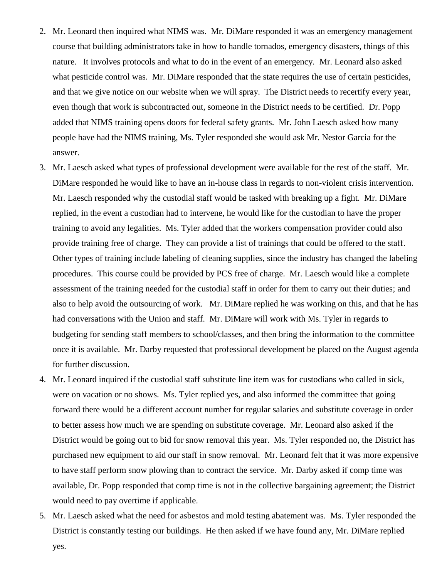- 2. Mr. Leonard then inquired what NIMS was. Mr. DiMare responded it was an emergency management course that building administrators take in how to handle tornados, emergency disasters, things of this nature. It involves protocols and what to do in the event of an emergency. Mr. Leonard also asked what pesticide control was. Mr. DiMare responded that the state requires the use of certain pesticides, and that we give notice on our website when we will spray. The District needs to recertify every year, even though that work is subcontracted out, someone in the District needs to be certified. Dr. Popp added that NIMS training opens doors for federal safety grants. Mr. John Laesch asked how many people have had the NIMS training, Ms. Tyler responded she would ask Mr. Nestor Garcia for the answer.
- 3. Mr. Laesch asked what types of professional development were available for the rest of the staff. Mr. DiMare responded he would like to have an in-house class in regards to non-violent crisis intervention. Mr. Laesch responded why the custodial staff would be tasked with breaking up a fight. Mr. DiMare replied, in the event a custodian had to intervene, he would like for the custodian to have the proper training to avoid any legalities. Ms. Tyler added that the workers compensation provider could also provide training free of charge. They can provide a list of trainings that could be offered to the staff. Other types of training include labeling of cleaning supplies, since the industry has changed the labeling procedures. This course could be provided by PCS free of charge. Mr. Laesch would like a complete assessment of the training needed for the custodial staff in order for them to carry out their duties; and also to help avoid the outsourcing of work. Mr. DiMare replied he was working on this, and that he has had conversations with the Union and staff. Mr. DiMare will work with Ms. Tyler in regards to budgeting for sending staff members to school/classes, and then bring the information to the committee once it is available. Mr. Darby requested that professional development be placed on the August agenda for further discussion.
- 4. Mr. Leonard inquired if the custodial staff substitute line item was for custodians who called in sick, were on vacation or no shows. Ms. Tyler replied yes, and also informed the committee that going forward there would be a different account number for regular salaries and substitute coverage in order to better assess how much we are spending on substitute coverage. Mr. Leonard also asked if the District would be going out to bid for snow removal this year. Ms. Tyler responded no, the District has purchased new equipment to aid our staff in snow removal. Mr. Leonard felt that it was more expensive to have staff perform snow plowing than to contract the service. Mr. Darby asked if comp time was available, Dr. Popp responded that comp time is not in the collective bargaining agreement; the District would need to pay overtime if applicable.
- 5. Mr. Laesch asked what the need for asbestos and mold testing abatement was. Ms. Tyler responded the District is constantly testing our buildings. He then asked if we have found any, Mr. DiMare replied yes.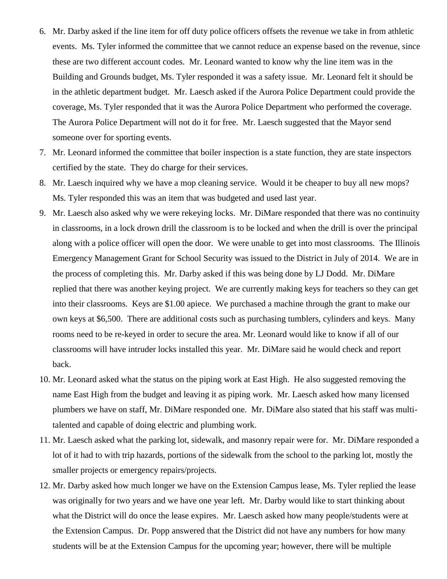- 6. Mr. Darby asked if the line item for off duty police officers offsets the revenue we take in from athletic events. Ms. Tyler informed the committee that we cannot reduce an expense based on the revenue, since these are two different account codes. Mr. Leonard wanted to know why the line item was in the Building and Grounds budget, Ms. Tyler responded it was a safety issue. Mr. Leonard felt it should be in the athletic department budget. Mr. Laesch asked if the Aurora Police Department could provide the coverage, Ms. Tyler responded that it was the Aurora Police Department who performed the coverage. The Aurora Police Department will not do it for free. Mr. Laesch suggested that the Mayor send someone over for sporting events.
- 7. Mr. Leonard informed the committee that boiler inspection is a state function, they are state inspectors certified by the state. They do charge for their services.
- 8. Mr. Laesch inquired why we have a mop cleaning service. Would it be cheaper to buy all new mops? Ms. Tyler responded this was an item that was budgeted and used last year.
- 9. Mr. Laesch also asked why we were rekeying locks. Mr. DiMare responded that there was no continuity in classrooms, in a lock drown drill the classroom is to be locked and when the drill is over the principal along with a police officer will open the door. We were unable to get into most classrooms. The Illinois Emergency Management Grant for School Security was issued to the District in July of 2014. We are in the process of completing this. Mr. Darby asked if this was being done by LJ Dodd. Mr. DiMare replied that there was another keying project. We are currently making keys for teachers so they can get into their classrooms. Keys are \$1.00 apiece. We purchased a machine through the grant to make our own keys at \$6,500. There are additional costs such as purchasing tumblers, cylinders and keys. Many rooms need to be re-keyed in order to secure the area. Mr. Leonard would like to know if all of our classrooms will have intruder locks installed this year. Mr. DiMare said he would check and report back.
- 10. Mr. Leonard asked what the status on the piping work at East High. He also suggested removing the name East High from the budget and leaving it as piping work. Mr. Laesch asked how many licensed plumbers we have on staff, Mr. DiMare responded one. Mr. DiMare also stated that his staff was multitalented and capable of doing electric and plumbing work.
- 11. Mr. Laesch asked what the parking lot, sidewalk, and masonry repair were for. Mr. DiMare responded a lot of it had to with trip hazards, portions of the sidewalk from the school to the parking lot, mostly the smaller projects or emergency repairs/projects.
- 12. Mr. Darby asked how much longer we have on the Extension Campus lease, Ms. Tyler replied the lease was originally for two years and we have one year left. Mr. Darby would like to start thinking about what the District will do once the lease expires. Mr. Laesch asked how many people/students were at the Extension Campus. Dr. Popp answered that the District did not have any numbers for how many students will be at the Extension Campus for the upcoming year; however, there will be multiple